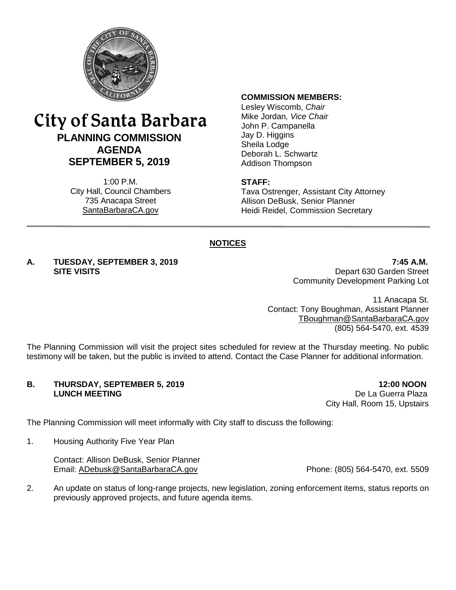

## City of Santa Barbara **PLANNING COMMISSION AGENDA SEPTEMBER 5, 2019**

1:00 P.M. City Hall, Council Chambers 735 Anacapa Street SantaBarbaraCA.gov

#### **COMMISSION MEMBERS:**

Lesley Wiscomb, *Chair* Mike Jordan*, Vice Chair* John P. Campanella Jay D. Higgins Sheila Lodge Deborah L. Schwartz Addison Thompson

#### **STAFF:**

Tava Ostrenger, Assistant City Attorney Allison DeBusk, Senior Planner Heidi Reidel, Commission Secretary

#### **NOTICES**

# **A. TUESDAY, SEPTEMBER 3, 2019 7:45 A.M.**

**Depart 630 Garden Street** Community Development Parking Lot

11 Anacapa St. Contact: Tony Boughman, Assistant Planner [TBoughman@SantaBarbaraCA.gov](mailto:TBoughman@SantaBarbaraCA.gov) (805) 564-5470, ext. 4539

The Planning Commission will visit the project sites scheduled for review at the Thursday meeting. No public testimony will be taken, but the public is invited to attend. Contact the Case Planner for additional information.

# **B. THURSDAY, SEPTEMBER 5, 2019 12:00 NOON**<br>**LUNCH MEETING 12:00 NOON**

De La Guerra Plaza City Hall, Room 15, Upstairs

The Planning Commission will meet informally with City staff to discuss the following:

1. Housing Authority Five Year Plan

Contact: Allison DeBusk, Senior Planner Email: [ADebusk@SantaBarbaraCA.gov](mailto:ADebusk@SantaBarbaraCA.gov) Phone: (805) 564-5470, ext. 5509

2. An update on status of long-range projects, new legislation, zoning enforcement items, status reports on previously approved projects, and future agenda items.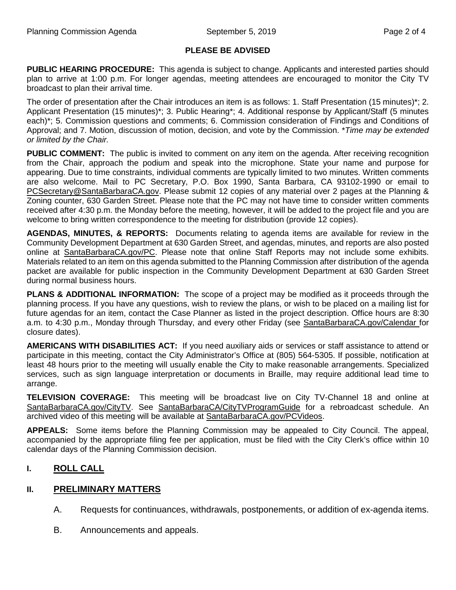#### **PLEASE BE ADVISED**

**PUBLIC HEARING PROCEDURE:** This agenda is subject to change. Applicants and interested parties should plan to arrive at 1:00 p.m. For longer agendas, meeting attendees are encouraged to monitor the City TV broadcast to plan their arrival time.

The order of presentation after the Chair introduces an item is as follows: 1. Staff Presentation (15 minutes)\*; 2. Applicant Presentation (15 minutes)\*; 3. Public Hearing\*; 4. Additional response by Applicant/Staff (5 minutes each)\*; 5. Commission questions and comments; 6. Commission consideration of Findings and Conditions of Approval; and 7. Motion, discussion of motion, decision, and vote by the Commission. \**Time may be extended or limited by the Chair.*

**PUBLIC COMMENT:** The public is invited to comment on any item on the agenda. After receiving recognition from the Chair, approach the podium and speak into the microphone. State your name and purpose for appearing. Due to time constraints, individual comments are typically limited to two minutes. Written comments are also welcome. Mail to PC Secretary, P.O. Box 1990, Santa Barbara, CA 93102-1990 or email to [PCSecretary@SantaBarbaraCA.gov.](mailto:PCSecretary@SantaBarbaraCA.gov) Please submit 12 copies of any material over 2 pages at the Planning & Zoning counter, 630 Garden Street. Please note that the PC may not have time to consider written comments received after 4:30 p.m. the Monday before the meeting, however, it will be added to the project file and you are welcome to bring written correspondence to the meeting for distribution (provide 12 copies).

**AGENDAS, MINUTES, & REPORTS:** Documents relating to agenda items are available for review in the Community Development Department at 630 Garden Street, and agendas, minutes, and reports are also posted online at [SantaBarbaraCA.gov/PC.](http://www.santabarbaraca.gov/PC) Please note that online Staff Reports may not include some exhibits. Materials related to an item on this agenda submitted to the Planning Commission after distribution of the agenda packet are available for public inspection in the Community Development Department at 630 Garden Street during normal business hours.

**PLANS & ADDITIONAL INFORMATION:** The scope of a project may be modified as it proceeds through the planning process. If you have any questions, wish to review the plans, or wish to be placed on a mailing list for future agendas for an item, contact the Case Planner as listed in the project description. Office hours are 8:30 a.m. to 4:30 p.m., Monday through Thursday, and every other Friday (see [SantaBarbaraCA.gov/Calendar](http://www.santabarbaraca.gov/cals/default.asp) for closure dates).

**AMERICANS WITH DISABILITIES ACT:** If you need auxiliary aids or services or staff assistance to attend or participate in this meeting, contact the City Administrator's Office at (805) 564-5305. If possible, notification at least 48 hours prior to the meeting will usually enable the City to make reasonable arrangements. Specialized services, such as sign language interpretation or documents in Braille, may require additional lead time to arrange.

**TELEVISION COVERAGE:** This meeting will be broadcast live on City TV-Channel 18 and online at [SantaBarbaraCA.gov/CityTV.](http://www.santabarbaraca.gov/CityTV) See [SantaBarbaraCA/CityTVProgramGuide](http://www.santabarbaraca.gov/gov/depts/cityadmin/programming.asp) for a rebroadcast schedule. An archived video of this meeting will be available at [SantaBarbaraCA.gov/PCVideos.](http://www.santabarbaraca.gov/PCVideos)

**APPEALS:** Some items before the Planning Commission may be appealed to City Council. The appeal, accompanied by the appropriate filing fee per application, must be filed with the City Clerk's office within 10 calendar days of the Planning Commission decision.

#### **I. ROLL CALL**

#### **II. PRELIMINARY MATTERS**

- A. Requests for continuances, withdrawals, postponements, or addition of ex-agenda items.
- B. Announcements and appeals.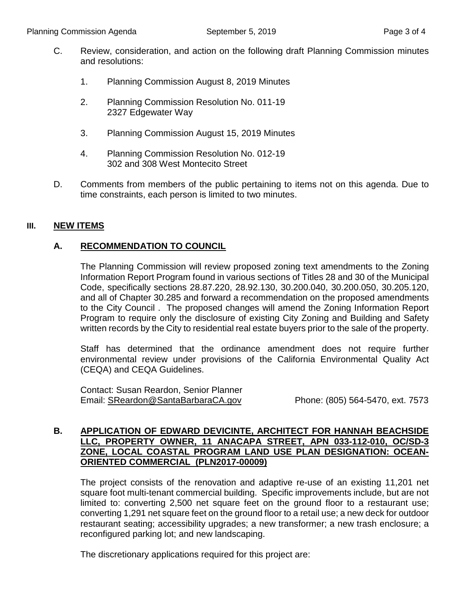- C. Review, consideration, and action on the following draft Planning Commission minutes and resolutions:
	- 1. Planning Commission August 8, 2019 Minutes
	- 2. Planning Commission Resolution No. 011-19 2327 Edgewater Way
	- 3. Planning Commission August 15, 2019 Minutes
	- 4. Planning Commission Resolution No. 012-19 302 and 308 West Montecito Street
- D. Comments from members of the public pertaining to items not on this agenda. Due to time constraints, each person is limited to two minutes.

#### **III. NEW ITEMS**

#### **A. RECOMMENDATION TO COUNCIL**

The Planning Commission will review proposed zoning text amendments to the Zoning Information Report Program found in various sections of Titles 28 and 30 of the Municipal Code, specifically sections 28.87.220, 28.92.130, 30.200.040, 30.200.050, 30.205.120, and all of Chapter 30.285 and forward a recommendation on the proposed amendments to the City Council . The proposed changes will amend the Zoning Information Report Program to require only the disclosure of existing City Zoning and Building and Safety written records by the City to residential real estate buyers prior to the sale of the property.

Staff has determined that the ordinance amendment does not require further environmental review under provisions of the California Environmental Quality Act (CEQA) and CEQA Guidelines.

Contact: Susan Reardon, Senior Planner Email: [SReardon@SantaBarbaraCA.gov](mailto:SReardon@SantaBarbaraCA.gov) Phone: (805) 564-5470, ext. 7573

#### **B. APPLICATION OF EDWARD DEVICINTE, ARCHITECT FOR HANNAH BEACHSIDE LLC, PROPERTY OWNER, 11 ANACAPA STREET, APN 033-112-010, OC/SD-3 ZONE, LOCAL COASTAL PROGRAM LAND USE PLAN DESIGNATION: OCEAN-ORIENTED COMMERCIAL (PLN2017-00009)**

The project consists of the renovation and adaptive re-use of an existing 11,201 net square foot multi-tenant commercial building. Specific improvements include, but are not limited to: converting 2,500 net square feet on the ground floor to a restaurant use; converting 1,291 net square feet on the ground floor to a retail use; a new deck for outdoor restaurant seating; accessibility upgrades; a new transformer; a new trash enclosure; a reconfigured parking lot; and new landscaping.

The discretionary applications required for this project are: